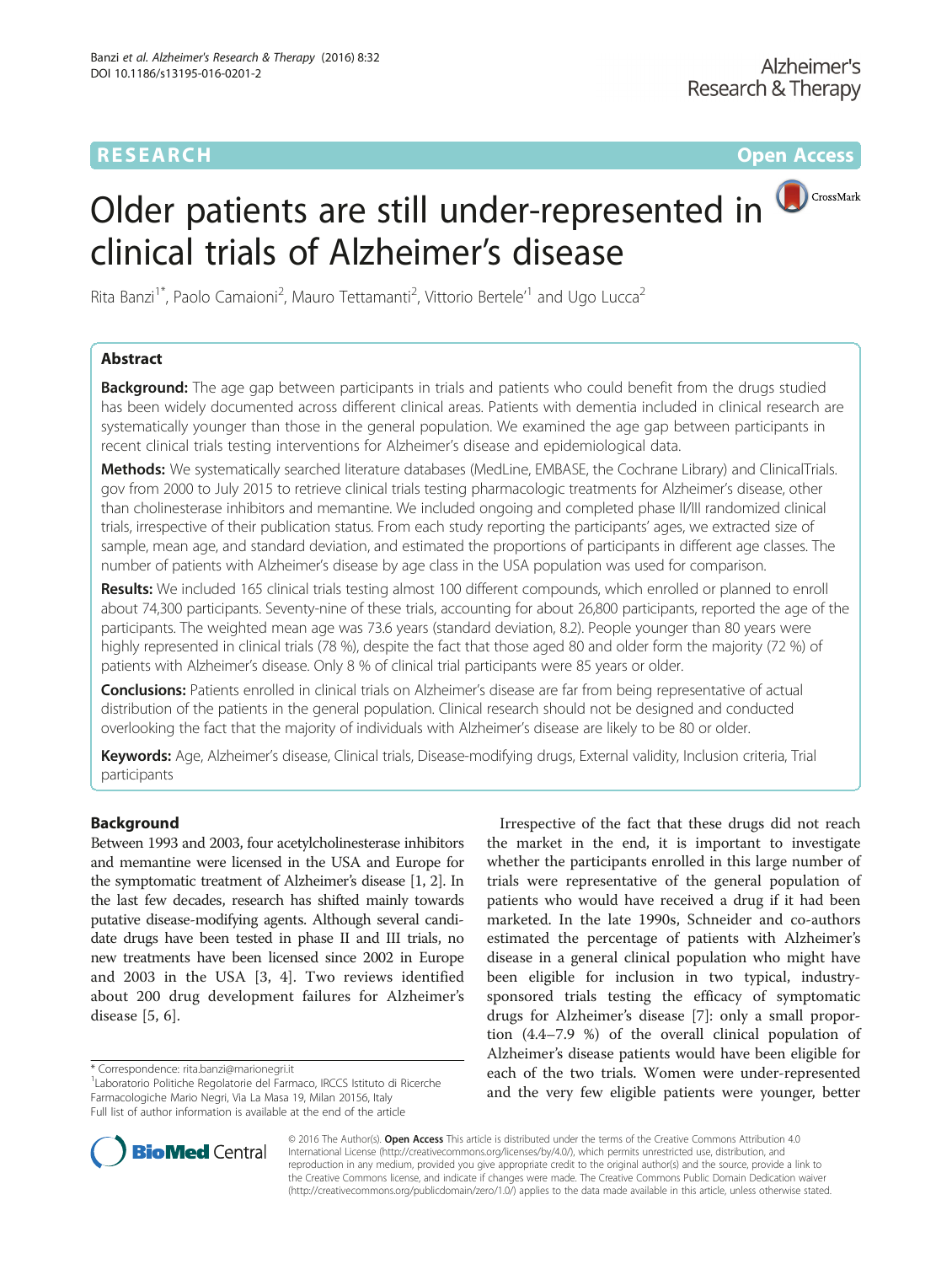## **RESEARCH CHE Open Access**

# Older patients are still under-represented in clinical trials of Alzheimer's disease

Rita Banzi<sup>1\*</sup>, Paolo Camaioni<sup>2</sup>, Mauro Tettamanti<sup>2</sup>, Vittorio Bertele'<sup>1</sup> and Ugo Lucca<sup>2</sup>

## Abstract

**Background:** The age gap between participants in trials and patients who could benefit from the drugs studied has been widely documented across different clinical areas. Patients with dementia included in clinical research are systematically younger than those in the general population. We examined the age gap between participants in recent clinical trials testing interventions for Alzheimer's disease and epidemiological data.

Methods: We systematically searched literature databases (MedLine, EMBASE, the Cochrane Library) and ClinicalTrials. gov from 2000 to July 2015 to retrieve clinical trials testing pharmacologic treatments for Alzheimer's disease, other than cholinesterase inhibitors and memantine. We included ongoing and completed phase II/III randomized clinical trials, irrespective of their publication status. From each study reporting the participants' ages, we extracted size of sample, mean age, and standard deviation, and estimated the proportions of participants in different age classes. The number of patients with Alzheimer's disease by age class in the USA population was used for comparison.

Results: We included 165 clinical trials testing almost 100 different compounds, which enrolled or planned to enroll about 74,300 participants. Seventy-nine of these trials, accounting for about 26,800 participants, reported the age of the participants. The weighted mean age was 73.6 years (standard deviation, 8.2). People younger than 80 years were highly represented in clinical trials (78 %), despite the fact that those aged 80 and older form the majority (72 %) of patients with Alzheimer's disease. Only 8 % of clinical trial participants were 85 years or older.

Conclusions: Patients enrolled in clinical trials on Alzheimer's disease are far from being representative of actual distribution of the patients in the general population. Clinical research should not be designed and conducted overlooking the fact that the majority of individuals with Alzheimer's disease are likely to be 80 or older.

Keywords: Age, Alzheimer's disease, Clinical trials, Disease-modifying drugs, External validity, Inclusion criteria, Trial participants

## Background

Between 1993 and 2003, four acetylcholinesterase inhibitors and memantine were licensed in the USA and Europe for the symptomatic treatment of Alzheimer's disease [[1](#page-8-0), [2](#page-8-0)]. In the last few decades, research has shifted mainly towards putative disease-modifying agents. Although several candidate drugs have been tested in phase II and III trials, no new treatments have been licensed since 2002 in Europe and 2003 in the USA [[3, 4](#page-9-0)]. Two reviews identified about 200 drug development failures for Alzheimer's disease [\[5](#page-9-0), [6](#page-9-0)].

Irrespective of the fact that these drugs did not reach the market in the end, it is important to investigate whether the participants enrolled in this large number of trials were representative of the general population of patients who would have received a drug if it had been marketed. In the late 1990s, Schneider and co-authors estimated the percentage of patients with Alzheimer's disease in a general clinical population who might have been eligible for inclusion in two typical, industrysponsored trials testing the efficacy of symptomatic drugs for Alzheimer's disease [\[7\]](#page-9-0): only a small proportion (4.4–7.9 %) of the overall clinical population of Alzheimer's disease patients would have been eligible for each of the two trials. Women were under-represented and the very few eligible patients were younger, better



© 2016 The Author(s). Open Access This article is distributed under the terms of the Creative Commons Attribution 4.0 International License [\(http://creativecommons.org/licenses/by/4.0/](http://creativecommons.org/licenses/by/4.0/)), which permits unrestricted use, distribution, and reproduction in any medium, provided you give appropriate credit to the original author(s) and the source, provide a link to the Creative Commons license, and indicate if changes were made. The Creative Commons Public Domain Dedication waiver [\(http://creativecommons.org/publicdomain/zero/1.0/](http://creativecommons.org/publicdomain/zero/1.0/)) applies to the data made available in this article, unless otherwise stated.

<sup>\*</sup> Correspondence: [rita.banzi@marionegri.it](mailto:rita.banzi@marionegri.it) <sup>1</sup>

Laboratorio Politiche Regolatorie del Farmaco, IRCCS Istituto di Ricerche Farmacologiche Mario Negri, Via La Masa 19, Milan 20156, Italy Full list of author information is available at the end of the article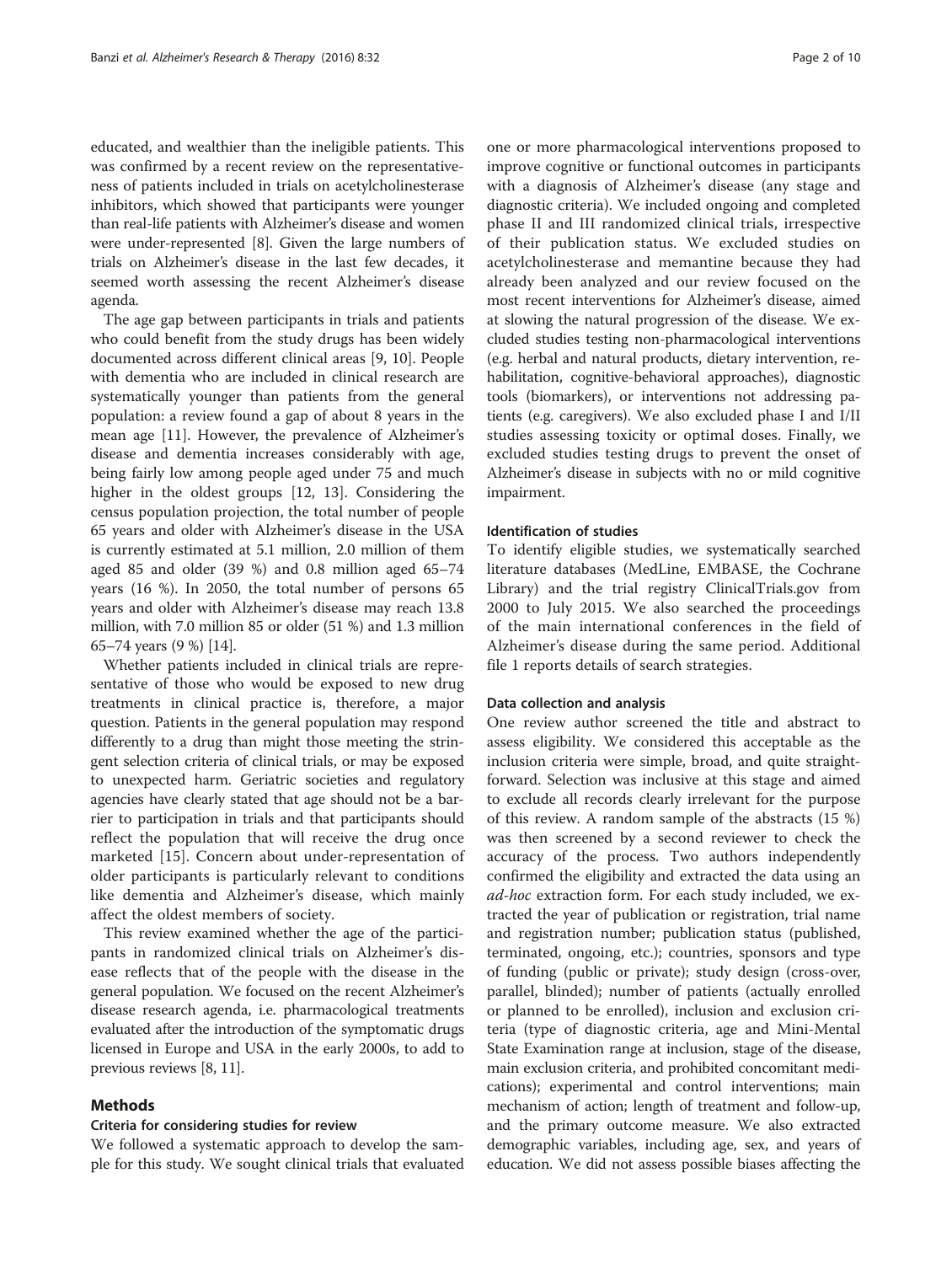educated, and wealthier than the ineligible patients. This was confirmed by a recent review on the representativeness of patients included in trials on acetylcholinesterase inhibitors, which showed that participants were younger than real-life patients with Alzheimer's disease and women were under-represented [[8\]](#page-9-0). Given the large numbers of trials on Alzheimer's disease in the last few decades, it seemed worth assessing the recent Alzheimer's disease agenda.

The age gap between participants in trials and patients who could benefit from the study drugs has been widely documented across different clinical areas [\[9, 10\]](#page-9-0). People with dementia who are included in clinical research are systematically younger than patients from the general population: a review found a gap of about 8 years in the mean age [\[11](#page-9-0)]. However, the prevalence of Alzheimer's disease and dementia increases considerably with age, being fairly low among people aged under 75 and much higher in the oldest groups [\[12, 13](#page-9-0)]. Considering the census population projection, the total number of people 65 years and older with Alzheimer's disease in the USA is currently estimated at 5.1 million, 2.0 million of them aged 85 and older (39 %) and 0.8 million aged 65–74 years (16 %). In 2050, the total number of persons 65 years and older with Alzheimer's disease may reach 13.8 million, with 7.0 million 85 or older (51 %) and 1.3 million 65–74 years (9 %) [\[14\]](#page-9-0).

Whether patients included in clinical trials are representative of those who would be exposed to new drug treatments in clinical practice is, therefore, a major question. Patients in the general population may respond differently to a drug than might those meeting the stringent selection criteria of clinical trials, or may be exposed to unexpected harm. Geriatric societies and regulatory agencies have clearly stated that age should not be a barrier to participation in trials and that participants should reflect the population that will receive the drug once marketed [\[15](#page-9-0)]. Concern about under-representation of older participants is particularly relevant to conditions like dementia and Alzheimer's disease, which mainly affect the oldest members of society.

This review examined whether the age of the participants in randomized clinical trials on Alzheimer's disease reflects that of the people with the disease in the general population. We focused on the recent Alzheimer's disease research agenda, i.e. pharmacological treatments evaluated after the introduction of the symptomatic drugs licensed in Europe and USA in the early 2000s, to add to previous reviews [[8](#page-9-0), [11\]](#page-9-0).

### Methods

## Criteria for considering studies for review

We followed a systematic approach to develop the sample for this study. We sought clinical trials that evaluated one or more pharmacological interventions proposed to improve cognitive or functional outcomes in participants with a diagnosis of Alzheimer's disease (any stage and diagnostic criteria). We included ongoing and completed phase II and III randomized clinical trials, irrespective of their publication status. We excluded studies on acetylcholinesterase and memantine because they had already been analyzed and our review focused on the most recent interventions for Alzheimer's disease, aimed at slowing the natural progression of the disease. We excluded studies testing non-pharmacological interventions (e.g. herbal and natural products, dietary intervention, rehabilitation, cognitive-behavioral approaches), diagnostic tools (biomarkers), or interventions not addressing patients (e.g. caregivers). We also excluded phase I and I/II studies assessing toxicity or optimal doses. Finally, we excluded studies testing drugs to prevent the onset of Alzheimer's disease in subjects with no or mild cognitive impairment.

#### Identification of studies

To identify eligible studies, we systematically searched literature databases (MedLine, EMBASE, the Cochrane Library) and the trial registry ClinicalTrials.gov from 2000 to July 2015. We also searched the proceedings of the main international conferences in the field of Alzheimer's disease during the same period. Additional file [1](#page-8-0) reports details of search strategies.

#### Data collection and analysis

One review author screened the title and abstract to assess eligibility. We considered this acceptable as the inclusion criteria were simple, broad, and quite straightforward. Selection was inclusive at this stage and aimed to exclude all records clearly irrelevant for the purpose of this review. A random sample of the abstracts (15 %) was then screened by a second reviewer to check the accuracy of the process. Two authors independently confirmed the eligibility and extracted the data using an ad-hoc extraction form. For each study included, we extracted the year of publication or registration, trial name and registration number; publication status (published, terminated, ongoing, etc.); countries, sponsors and type of funding (public or private); study design (cross-over, parallel, blinded); number of patients (actually enrolled or planned to be enrolled), inclusion and exclusion criteria (type of diagnostic criteria, age and Mini-Mental State Examination range at inclusion, stage of the disease, main exclusion criteria, and prohibited concomitant medications); experimental and control interventions; main mechanism of action; length of treatment and follow-up, and the primary outcome measure. We also extracted demographic variables, including age, sex, and years of education. We did not assess possible biases affecting the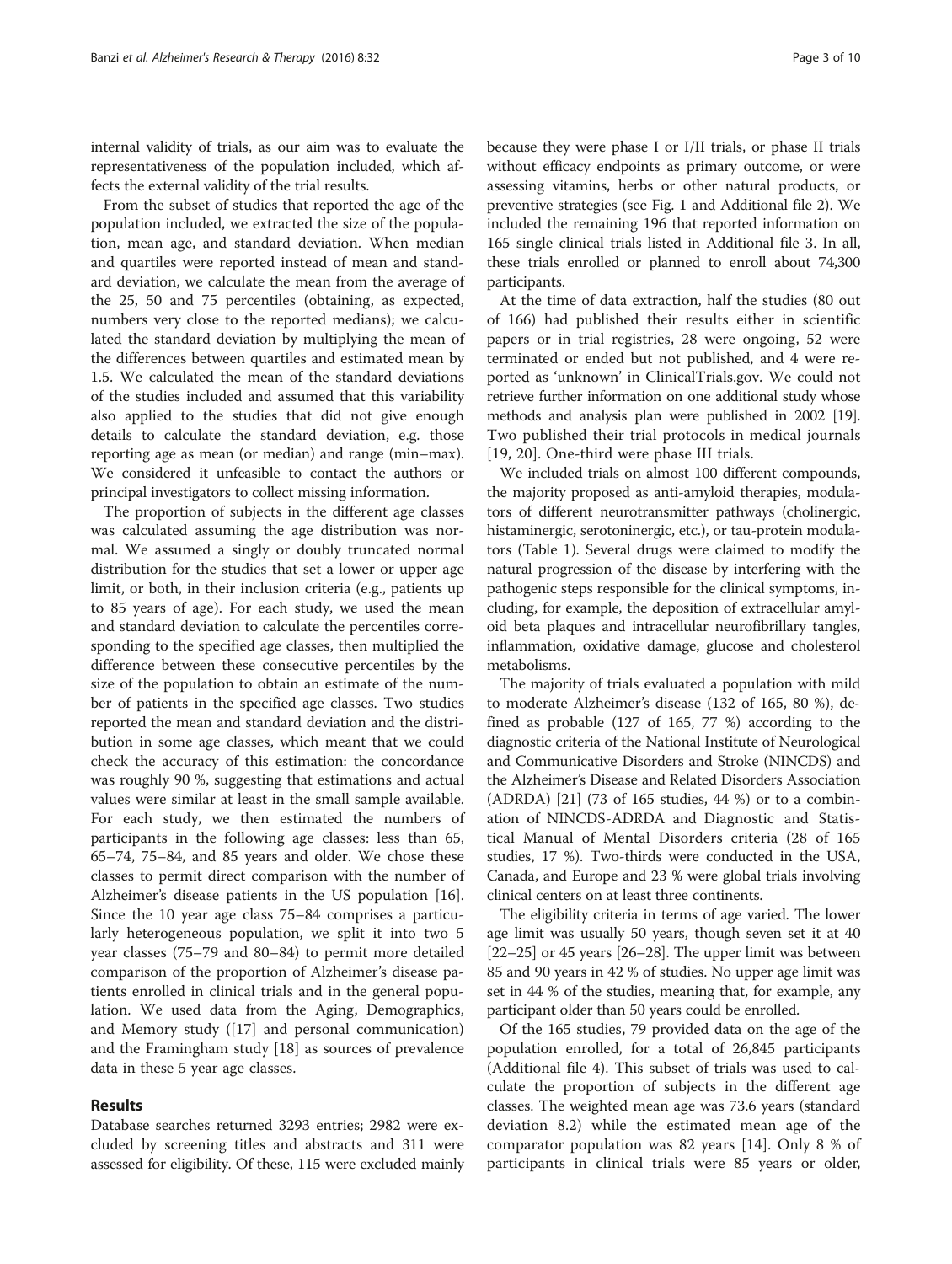internal validity of trials, as our aim was to evaluate the representativeness of the population included, which affects the external validity of the trial results.

From the subset of studies that reported the age of the population included, we extracted the size of the population, mean age, and standard deviation. When median and quartiles were reported instead of mean and standard deviation, we calculate the mean from the average of the 25, 50 and 75 percentiles (obtaining, as expected, numbers very close to the reported medians); we calculated the standard deviation by multiplying the mean of the differences between quartiles and estimated mean by 1.5. We calculated the mean of the standard deviations of the studies included and assumed that this variability also applied to the studies that did not give enough details to calculate the standard deviation, e.g. those reporting age as mean (or median) and range (min–max). We considered it unfeasible to contact the authors or principal investigators to collect missing information.

The proportion of subjects in the different age classes was calculated assuming the age distribution was normal. We assumed a singly or doubly truncated normal distribution for the studies that set a lower or upper age limit, or both, in their inclusion criteria (e.g., patients up to 85 years of age). For each study, we used the mean and standard deviation to calculate the percentiles corresponding to the specified age classes, then multiplied the difference between these consecutive percentiles by the size of the population to obtain an estimate of the number of patients in the specified age classes. Two studies reported the mean and standard deviation and the distribution in some age classes, which meant that we could check the accuracy of this estimation: the concordance was roughly 90 %, suggesting that estimations and actual values were similar at least in the small sample available. For each study, we then estimated the numbers of participants in the following age classes: less than 65, 65–74, 75–84, and 85 years and older. We chose these classes to permit direct comparison with the number of Alzheimer's disease patients in the US population [\[16](#page-9-0)]. Since the 10 year age class 75–84 comprises a particularly heterogeneous population, we split it into two 5 year classes (75–79 and 80–84) to permit more detailed comparison of the proportion of Alzheimer's disease patients enrolled in clinical trials and in the general population. We used data from the Aging, Demographics, and Memory study ([[17](#page-9-0)] and personal communication) and the Framingham study [[18](#page-9-0)] as sources of prevalence data in these 5 year age classes.

## Results

Database searches returned 3293 entries; 2982 were excluded by screening titles and abstracts and 311 were assessed for eligibility. Of these, 115 were excluded mainly

because they were phase I or I/II trials, or phase II trials without efficacy endpoints as primary outcome, or were assessing vitamins, herbs or other natural products, or preventive strategies (see Fig. [1](#page-3-0) and Additional file [2](#page-8-0)). We included the remaining 196 that reported information on 165 single clinical trials listed in Additional file [3.](#page-8-0) In all, these trials enrolled or planned to enroll about 74,300 participants.

At the time of data extraction, half the studies (80 out of 166) had published their results either in scientific papers or in trial registries, 28 were ongoing, 52 were terminated or ended but not published, and 4 were reported as 'unknown' in ClinicalTrials.gov. We could not retrieve further information on one additional study whose methods and analysis plan were published in 2002 [\[19](#page-9-0)]. Two published their trial protocols in medical journals [[19, 20](#page-9-0)]. One-third were phase III trials.

We included trials on almost 100 different compounds, the majority proposed as anti-amyloid therapies, modulators of different neurotransmitter pathways (cholinergic, histaminergic, serotoninergic, etc.), or tau-protein modulators (Table [1](#page-4-0)). Several drugs were claimed to modify the natural progression of the disease by interfering with the pathogenic steps responsible for the clinical symptoms, including, for example, the deposition of extracellular amyloid beta plaques and intracellular neurofibrillary tangles, inflammation, oxidative damage, glucose and cholesterol metabolisms.

The majority of trials evaluated a population with mild to moderate Alzheimer's disease (132 of 165, 80 %), defined as probable (127 of 165, 77 %) according to the diagnostic criteria of the National Institute of Neurological and Communicative Disorders and Stroke (NINCDS) and the Alzheimer's Disease and Related Disorders Association (ADRDA) [\[21\]](#page-9-0) (73 of 165 studies, 44 %) or to a combination of NINCDS-ADRDA and Diagnostic and Statistical Manual of Mental Disorders criteria (28 of 165 studies, 17 %). Two-thirds were conducted in the USA, Canada, and Europe and 23 % were global trials involving clinical centers on at least three continents.

The eligibility criteria in terms of age varied. The lower age limit was usually 50 years, though seven set it at 40 [[22](#page-9-0)–[25\]](#page-9-0) or 45 years [[26](#page-9-0)–[28\]](#page-9-0). The upper limit was between 85 and 90 years in 42 % of studies. No upper age limit was set in 44 % of the studies, meaning that, for example, any participant older than 50 years could be enrolled.

Of the 165 studies, 79 provided data on the age of the population enrolled, for a total of 26,845 participants (Additional file [4\)](#page-8-0). This subset of trials was used to calculate the proportion of subjects in the different age classes. The weighted mean age was 73.6 years (standard deviation 8.2) while the estimated mean age of the comparator population was 82 years [\[14](#page-9-0)]. Only 8 % of participants in clinical trials were 85 years or older,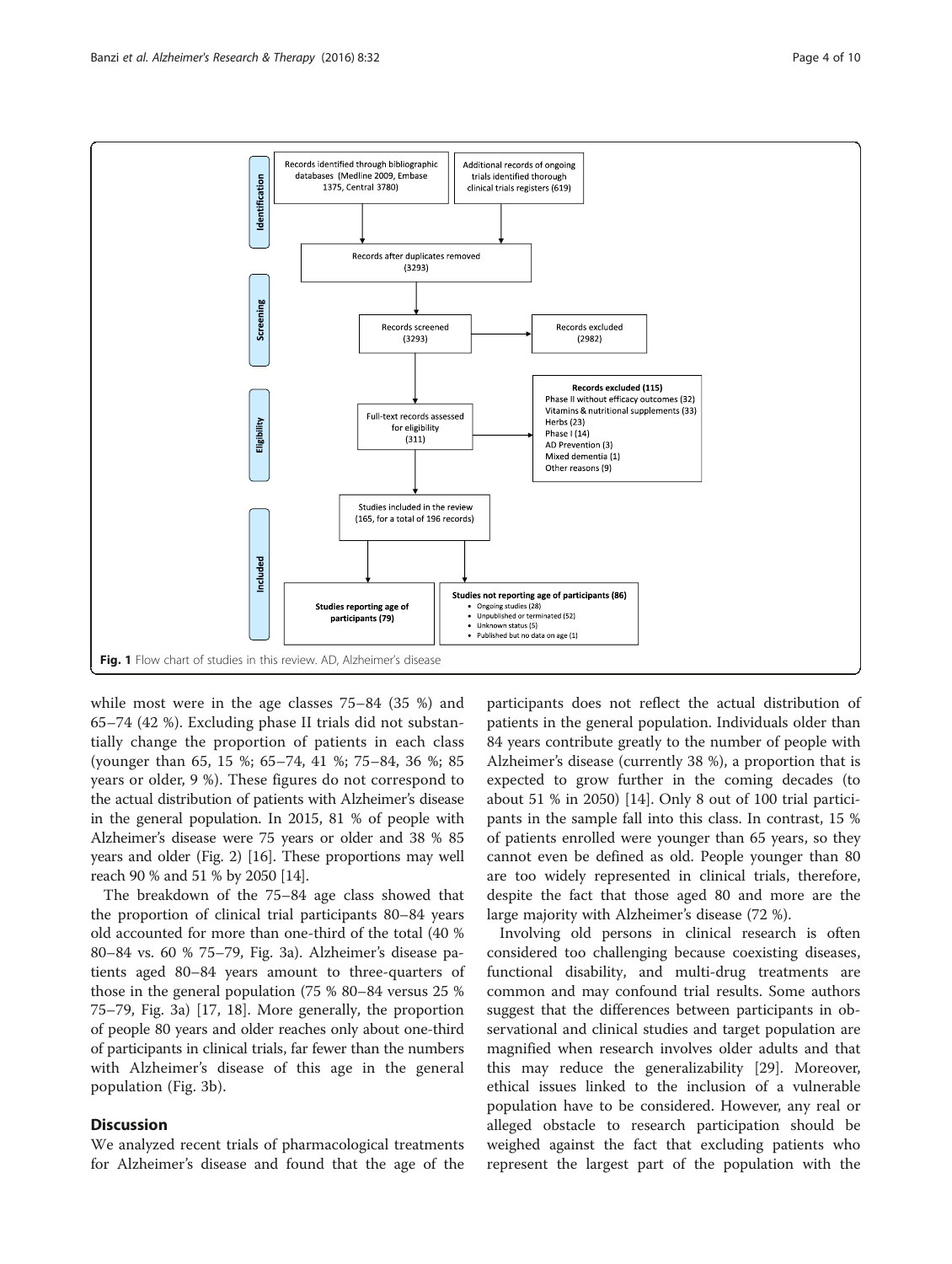<span id="page-3-0"></span>

while most were in the age classes 75–84 (35 %) and 65–74 (42 %). Excluding phase II trials did not substantially change the proportion of patients in each class (younger than 65, 15 %; 65–74, 41 %; 75–84, 36 %; 85 years or older, 9 %). These figures do not correspond to the actual distribution of patients with Alzheimer's disease in the general population. In 2015, 81 % of people with Alzheimer's disease were 75 years or older and 38 % 85 years and older (Fig. [2](#page-7-0)) [\[16\]](#page-9-0). These proportions may well reach 90 % and 51 % by 2050 [[14](#page-9-0)].

The breakdown of the 75–84 age class showed that the proportion of clinical trial participants 80–84 years old accounted for more than one-third of the total (40 % 80–84 vs. 60 % 75–79, Fig. [3a](#page-7-0)). Alzheimer's disease patients aged 80–84 years amount to three-quarters of those in the general population (75 % 80–84 versus 25 % 75–79, Fig. [3a\)](#page-7-0) [\[17, 18\]](#page-9-0). More generally, the proportion of people 80 years and older reaches only about one-third of participants in clinical trials, far fewer than the numbers with Alzheimer's disease of this age in the general population (Fig. [3b](#page-7-0)).

## **Discussion**

We analyzed recent trials of pharmacological treatments for Alzheimer's disease and found that the age of the

participants does not reflect the actual distribution of patients in the general population. Individuals older than 84 years contribute greatly to the number of people with Alzheimer's disease (currently 38 %), a proportion that is expected to grow further in the coming decades (to about 51 % in 2050) [\[14](#page-9-0)]. Only 8 out of 100 trial participants in the sample fall into this class. In contrast, 15 % of patients enrolled were younger than 65 years, so they cannot even be defined as old. People younger than 80 are too widely represented in clinical trials, therefore, despite the fact that those aged 80 and more are the large majority with Alzheimer's disease (72 %).

Involving old persons in clinical research is often considered too challenging because coexisting diseases, functional disability, and multi-drug treatments are common and may confound trial results. Some authors suggest that the differences between participants in observational and clinical studies and target population are magnified when research involves older adults and that this may reduce the generalizability [\[29](#page-9-0)]. Moreover, ethical issues linked to the inclusion of a vulnerable population have to be considered. However, any real or alleged obstacle to research participation should be weighed against the fact that excluding patients who represent the largest part of the population with the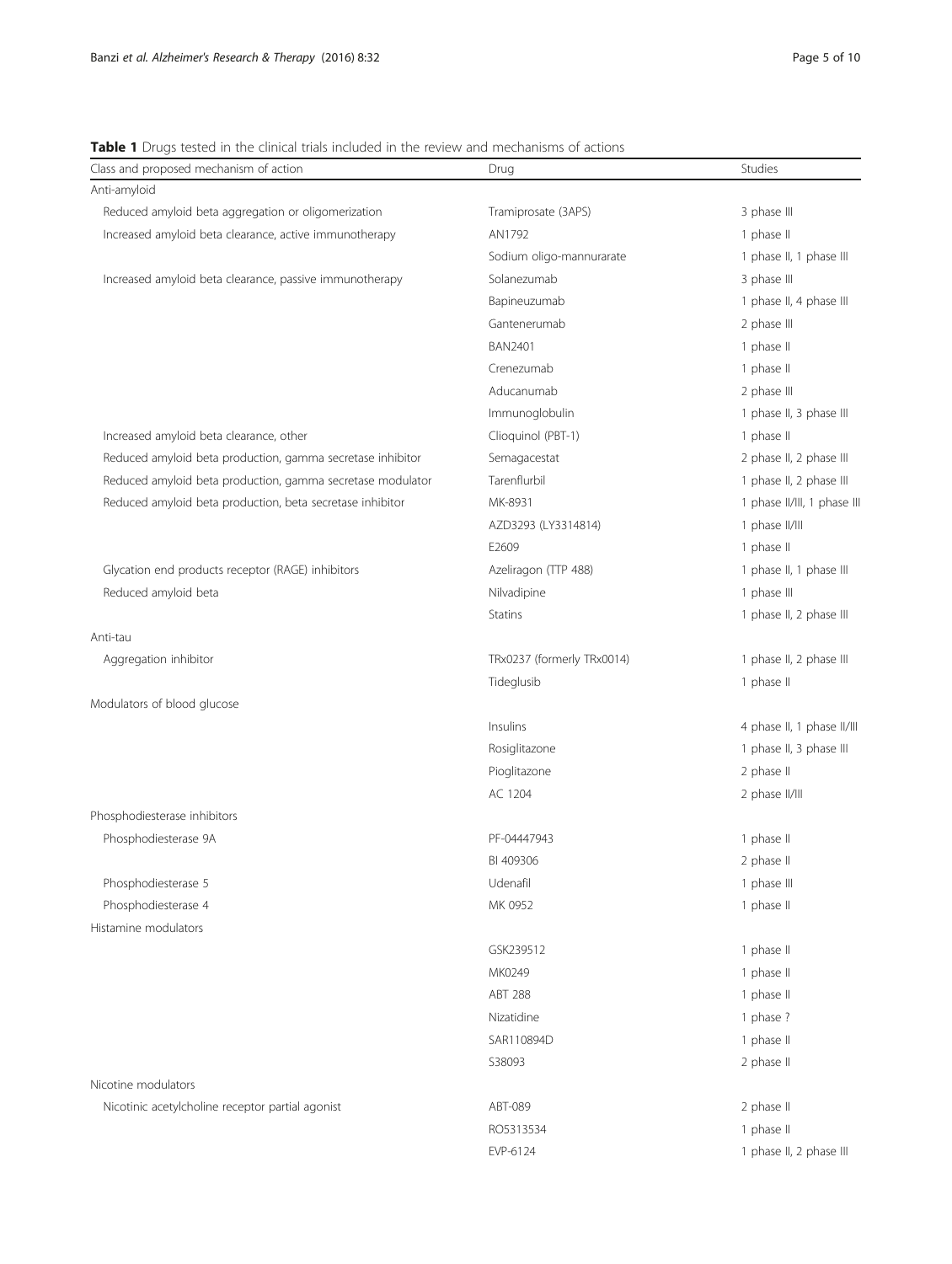<span id="page-4-0"></span>Table 1 Drugs tested in the clinical trials included in the review and mechanisms of actions

| Class and proposed mechanism of action                     | Drug                       | Studies                     |
|------------------------------------------------------------|----------------------------|-----------------------------|
| Anti-amyloid                                               |                            |                             |
| Reduced amyloid beta aggregation or oligomerization        | Tramiprosate (3APS)        | 3 phase III                 |
| Increased amyloid beta clearance, active immunotherapy     | AN1792                     | 1 phase II                  |
|                                                            | Sodium oligo-mannurarate   | 1 phase II, 1 phase III     |
| Increased amyloid beta clearance, passive immunotherapy    | Solanezumab                | 3 phase III                 |
|                                                            | Bapineuzumab               | 1 phase II, 4 phase III     |
|                                                            | Gantenerumab               | 2 phase III                 |
|                                                            | <b>BAN2401</b>             | 1 phase II                  |
|                                                            | Crenezumab                 | 1 phase II                  |
|                                                            | Aducanumab                 | 2 phase III                 |
|                                                            | Immunoglobulin             | 1 phase II, 3 phase III     |
| Increased amyloid beta clearance, other                    | Clioquinol (PBT-1)         | 1 phase II                  |
| Reduced amyloid beta production, gamma secretase inhibitor | Semagacestat               | 2 phase II, 2 phase III     |
| Reduced amyloid beta production, gamma secretase modulator | Tarenflurbil               | 1 phase II, 2 phase III     |
| Reduced amyloid beta production, beta secretase inhibitor  | MK-8931                    | 1 phase II/III, 1 phase III |
|                                                            | AZD3293 (LY3314814)        | 1 phase II/III              |
|                                                            | E2609                      | 1 phase II                  |
| Glycation end products receptor (RAGE) inhibitors          | Azeliragon (TTP 488)       | 1 phase II, 1 phase III     |
| Reduced amyloid beta                                       | Nilvadipine                | 1 phase III                 |
|                                                            | Statins                    | 1 phase II, 2 phase III     |
| Anti-tau                                                   |                            |                             |
| Aggregation inhibitor                                      | TRx0237 (formerly TRx0014) | 1 phase II, 2 phase III     |
|                                                            | Tideglusib                 | 1 phase II                  |
| Modulators of blood glucose                                |                            |                             |
|                                                            | Insulins                   | 4 phase II, 1 phase II/III  |
|                                                            | Rosiglitazone              | 1 phase II, 3 phase III     |
|                                                            | Pioglitazone               | 2 phase II                  |
|                                                            | AC 1204                    | 2 phase II/III              |
| Phosphodiesterase inhibitors                               |                            |                             |
| Phosphodiesterase 9A                                       | PF-04447943                | 1 phase II                  |
|                                                            | BI 409306                  | 2 phase II                  |
| Phosphodiesterase 5                                        | Udenafil                   | 1 phase III                 |
| Phosphodiesterase 4                                        | MK 0952                    | 1 phase II                  |
| Histamine modulators                                       |                            |                             |
|                                                            | GSK239512                  | 1 phase II                  |
|                                                            | MK0249                     | 1 phase II                  |
|                                                            | <b>ABT 288</b>             | 1 phase II                  |
|                                                            | Nizatidine                 | 1 phase ?                   |
|                                                            | SAR110894D                 | 1 phase II                  |
|                                                            | S38093                     | 2 phase II                  |
| Nicotine modulators                                        |                            |                             |
| Nicotinic acetylcholine receptor partial agonist           | ABT-089                    | 2 phase II                  |
|                                                            | RO5313534                  | 1 phase II                  |
|                                                            | EVP-6124                   | 1 phase II, 2 phase III     |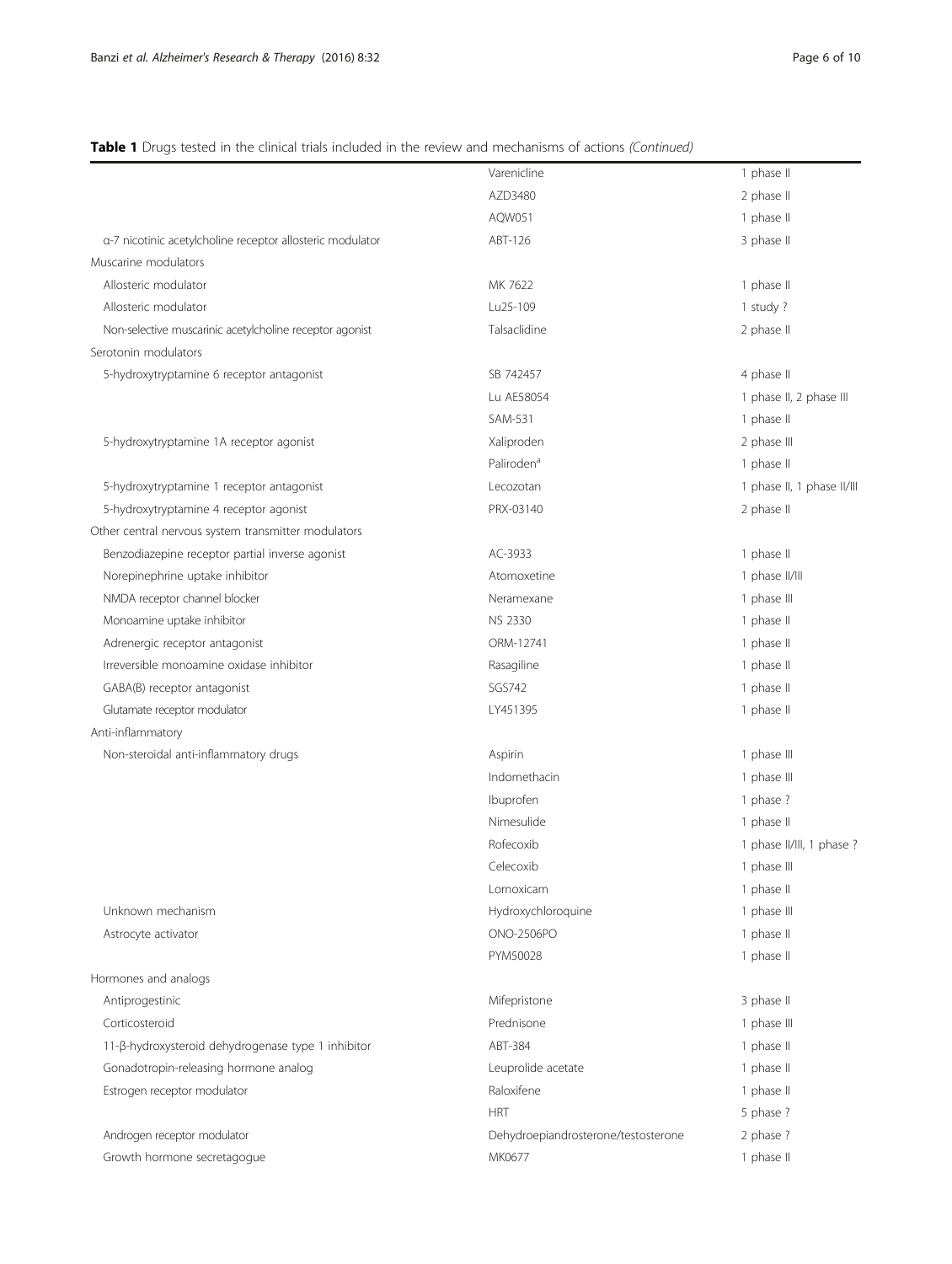## Table 1 Drugs tested in the clinical trials included in the review and mechanisms of actions (Continued)

|                                                           | Varenicline                         | 1 phase II                 |
|-----------------------------------------------------------|-------------------------------------|----------------------------|
|                                                           | AZD3480                             | 2 phase II                 |
|                                                           | AQW051                              | 1 phase II                 |
| a-7 nicotinic acetylcholine receptor allosteric modulator | ABT-126                             | 3 phase II                 |
| Muscarine modulators                                      |                                     |                            |
| Allosteric modulator                                      | MK 7622                             | 1 phase II                 |
| Allosteric modulator                                      | Lu25-109                            | 1 study?                   |
| Non-selective muscarinic acetylcholine receptor agonist   | Talsaclidine                        | 2 phase II                 |
| Serotonin modulators                                      |                                     |                            |
| 5-hydroxytryptamine 6 receptor antagonist                 | SB 742457                           | 4 phase II                 |
|                                                           | Lu AE58054                          | 1 phase II, 2 phase III    |
|                                                           | SAM-531                             | 1 phase II                 |
| 5-hydroxytryptamine 1A receptor agonist                   | Xaliproden                          | 2 phase III                |
|                                                           | Paliroden <sup>a</sup>              | 1 phase II                 |
| 5-hydroxytryptamine 1 receptor antagonist                 | Lecozotan                           | 1 phase II, 1 phase II/III |
| 5-hydroxytryptamine 4 receptor agonist                    | PRX-03140                           | 2 phase II                 |
| Other central nervous system transmitter modulators       |                                     |                            |
| Benzodiazepine receptor partial inverse agonist           | AC-3933                             | 1 phase II                 |
| Norepinephrine uptake inhibitor                           | Atomoxetine                         | 1 phase II/III             |
| NMDA receptor channel blocker                             | Neramexane                          | 1 phase III                |
| Monoamine uptake inhibitor                                | <b>NS 2330</b>                      | 1 phase II                 |
| Adrenergic receptor antagonist                            | ORM-12741                           | 1 phase II                 |
| Irreversible monoamine oxidase inhibitor                  | Rasagiline                          | 1 phase II                 |
| GABA(B) receptor antagonist                               | <b>SGS742</b>                       | 1 phase II                 |
| Glutamate receptor modulator                              | LY451395                            | 1 phase II                 |
| Anti-inflammatory                                         |                                     |                            |
| Non-steroidal anti-inflammatory drugs                     | Aspirin                             | 1 phase III                |
|                                                           | Indomethacin                        | 1 phase III                |
|                                                           | Ibuprofen                           | 1 phase ?                  |
|                                                           | Nimesulide                          | 1 phase II                 |
|                                                           | Rofecoxib                           | 1 phase II/III, 1 phase ?  |
|                                                           | Celecoxib                           | 1 phase III                |
|                                                           | Lornoxicam                          | 1 phase II                 |
| Unknown mechanism                                         | Hydroxychloroquine                  | 1 phase III                |
| Astrocyte activator                                       | <b>ONO-2506PO</b>                   | 1 phase II                 |
|                                                           | PYM50028                            | 1 phase II                 |
| Hormones and analogs                                      |                                     |                            |
| Antiprogestinic                                           | Mifepristone                        | 3 phase II                 |
| Corticosteroid                                            | Prednisone                          | 1 phase III                |
| 11-β-hydroxysteroid dehydrogenase type 1 inhibitor        | ABT-384                             | 1 phase II                 |
| Gonadotropin-releasing hormone analog                     | Leuprolide acetate                  | 1 phase II                 |
| Estrogen receptor modulator                               | Raloxifene                          | 1 phase II                 |
|                                                           | <b>HRT</b>                          | 5 phase ?                  |
| Androgen receptor modulator                               | Dehydroepiandrosterone/testosterone | 2 phase ?                  |
| Growth hormone secretagogue                               | MK0677                              | 1 phase II                 |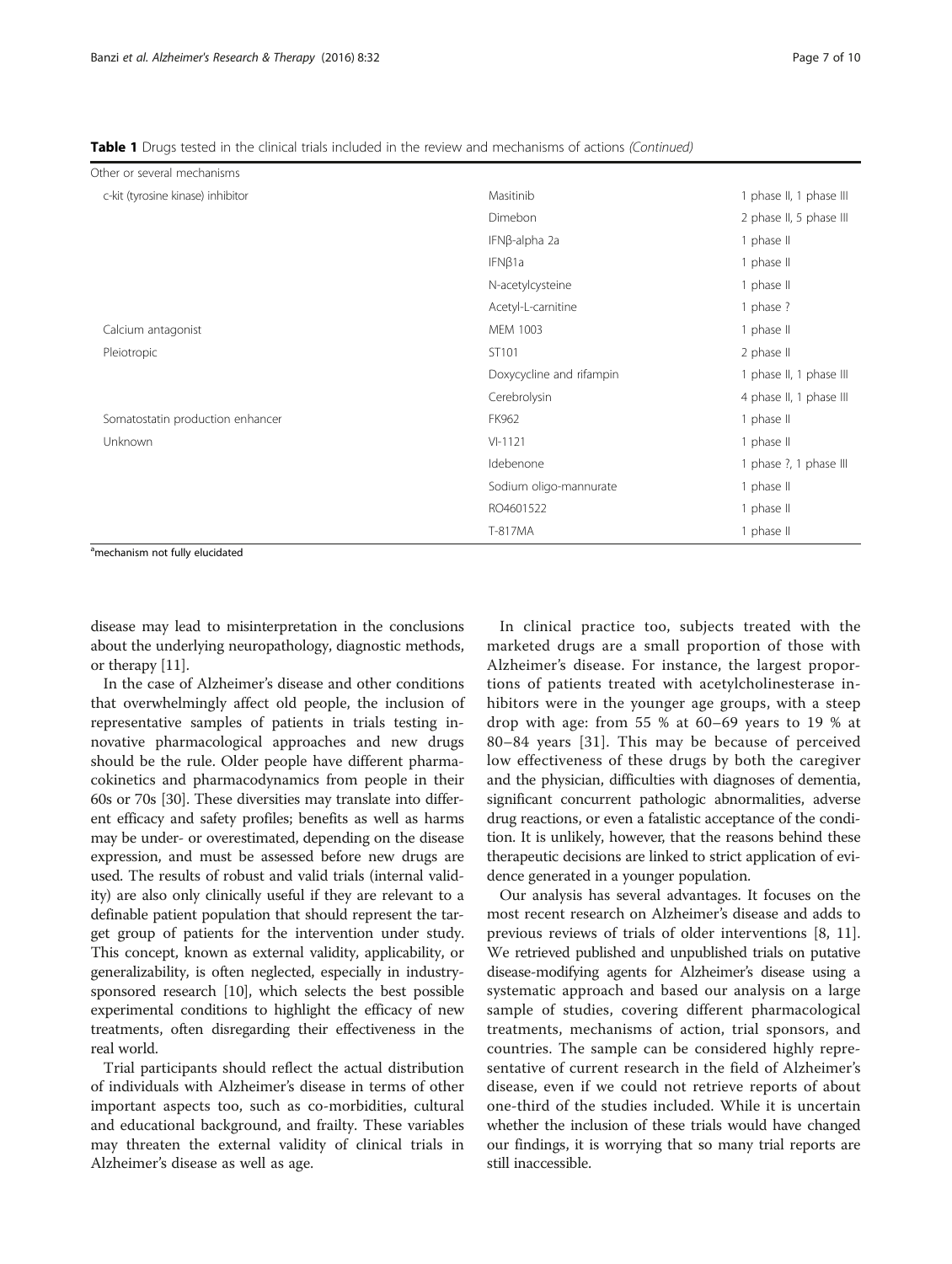Table 1 Drugs tested in the clinical trials included in the review and mechanisms of actions (Continued)

| Other or several mechanisms       |                          |                         |
|-----------------------------------|--------------------------|-------------------------|
| c-kit (tyrosine kinase) inhibitor | Masitinib                | 1 phase II, 1 phase III |
|                                   | Dimebon                  | 2 phase II, 5 phase III |
|                                   | IFNβ-alpha 2a            | 1 phase II              |
|                                   | $IFN\beta1a$             | 1 phase II              |
|                                   | N-acetylcysteine         | 1 phase II              |
|                                   | Acetyl-L-carnitine       | 1 phase ?               |
| Calcium antagonist                | <b>MEM 1003</b>          | 1 phase II              |
| Pleiotropic                       | ST101                    | 2 phase II              |
|                                   | Doxycycline and rifampin | 1 phase II, 1 phase III |
|                                   | Cerebrolysin             | 4 phase II, 1 phase III |
| Somatostatin production enhancer  | <b>FK962</b>             | 1 phase II              |
| Unknown                           | $VI-1121$                | 1 phase II              |
|                                   | Idebenone                | 1 phase ?, 1 phase III  |
|                                   | Sodium oligo-mannurate   | 1 phase II              |
|                                   | RO4601522                | 1 phase II              |
|                                   | T-817MA                  | 1 phase II              |

<sup>a</sup>mechanism not fully elucidated

disease may lead to misinterpretation in the conclusions about the underlying neuropathology, diagnostic methods, or therapy [[11](#page-9-0)].

In the case of Alzheimer's disease and other conditions that overwhelmingly affect old people, the inclusion of representative samples of patients in trials testing innovative pharmacological approaches and new drugs should be the rule. Older people have different pharmacokinetics and pharmacodynamics from people in their 60s or 70s [[30](#page-9-0)]. These diversities may translate into different efficacy and safety profiles; benefits as well as harms may be under- or overestimated, depending on the disease expression, and must be assessed before new drugs are used. The results of robust and valid trials (internal validity) are also only clinically useful if they are relevant to a definable patient population that should represent the target group of patients for the intervention under study. This concept, known as external validity, applicability, or generalizability, is often neglected, especially in industrysponsored research [[10](#page-9-0)], which selects the best possible experimental conditions to highlight the efficacy of new treatments, often disregarding their effectiveness in the real world.

Trial participants should reflect the actual distribution of individuals with Alzheimer's disease in terms of other important aspects too, such as co-morbidities, cultural and educational background, and frailty. These variables may threaten the external validity of clinical trials in Alzheimer's disease as well as age.

In clinical practice too, subjects treated with the marketed drugs are a small proportion of those with Alzheimer's disease. For instance, the largest proportions of patients treated with acetylcholinesterase inhibitors were in the younger age groups, with a steep drop with age: from 55 % at 60–69 years to 19 % at 80–84 years [[31\]](#page-9-0). This may be because of perceived low effectiveness of these drugs by both the caregiver and the physician, difficulties with diagnoses of dementia, significant concurrent pathologic abnormalities, adverse drug reactions, or even a fatalistic acceptance of the condition. It is unlikely, however, that the reasons behind these therapeutic decisions are linked to strict application of evidence generated in a younger population.

Our analysis has several advantages. It focuses on the most recent research on Alzheimer's disease and adds to previous reviews of trials of older interventions [\[8](#page-9-0), [11](#page-9-0)]. We retrieved published and unpublished trials on putative disease-modifying agents for Alzheimer's disease using a systematic approach and based our analysis on a large sample of studies, covering different pharmacological treatments, mechanisms of action, trial sponsors, and countries. The sample can be considered highly representative of current research in the field of Alzheimer's disease, even if we could not retrieve reports of about one-third of the studies included. While it is uncertain whether the inclusion of these trials would have changed our findings, it is worrying that so many trial reports are still inaccessible.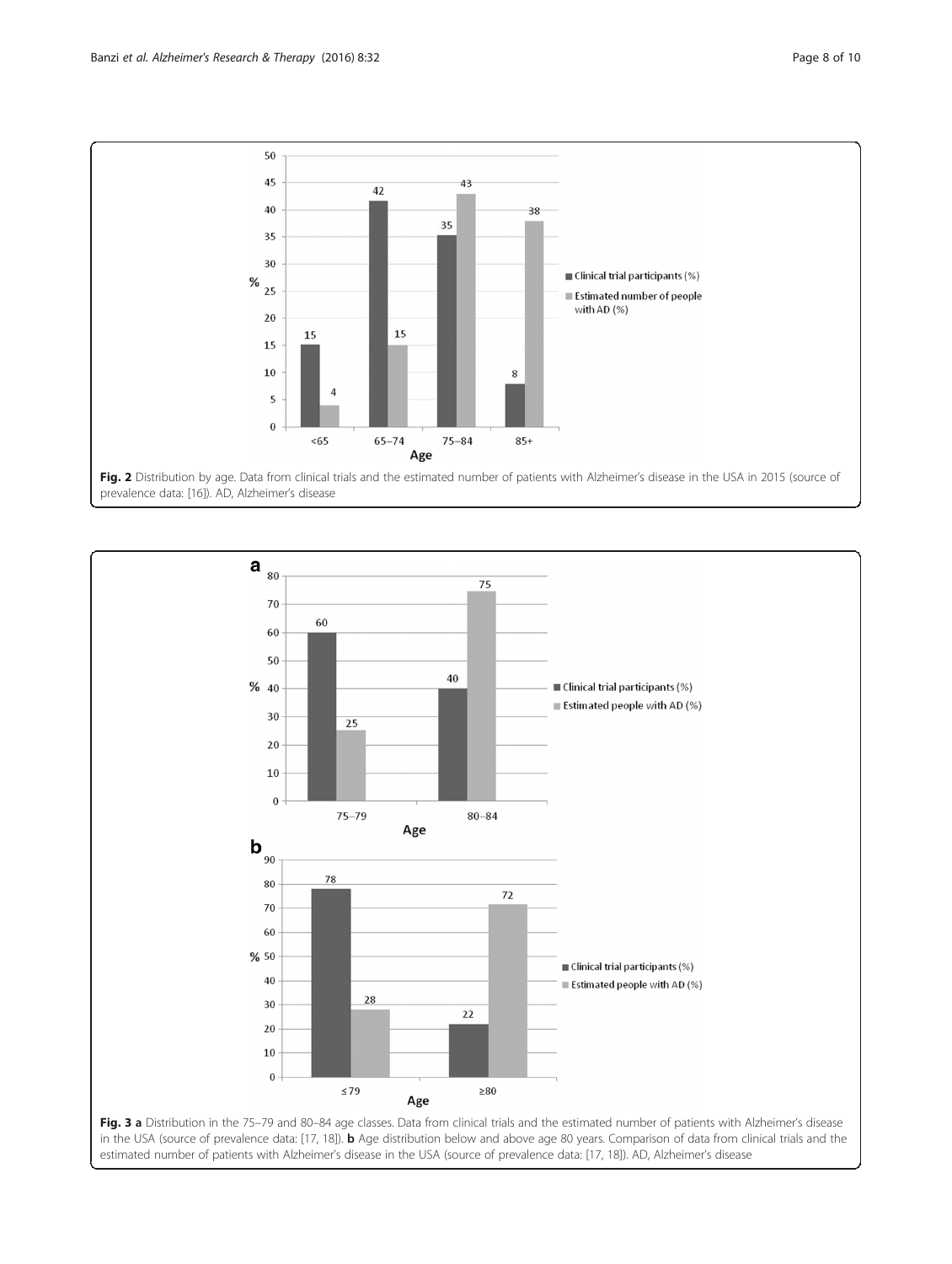<span id="page-7-0"></span>

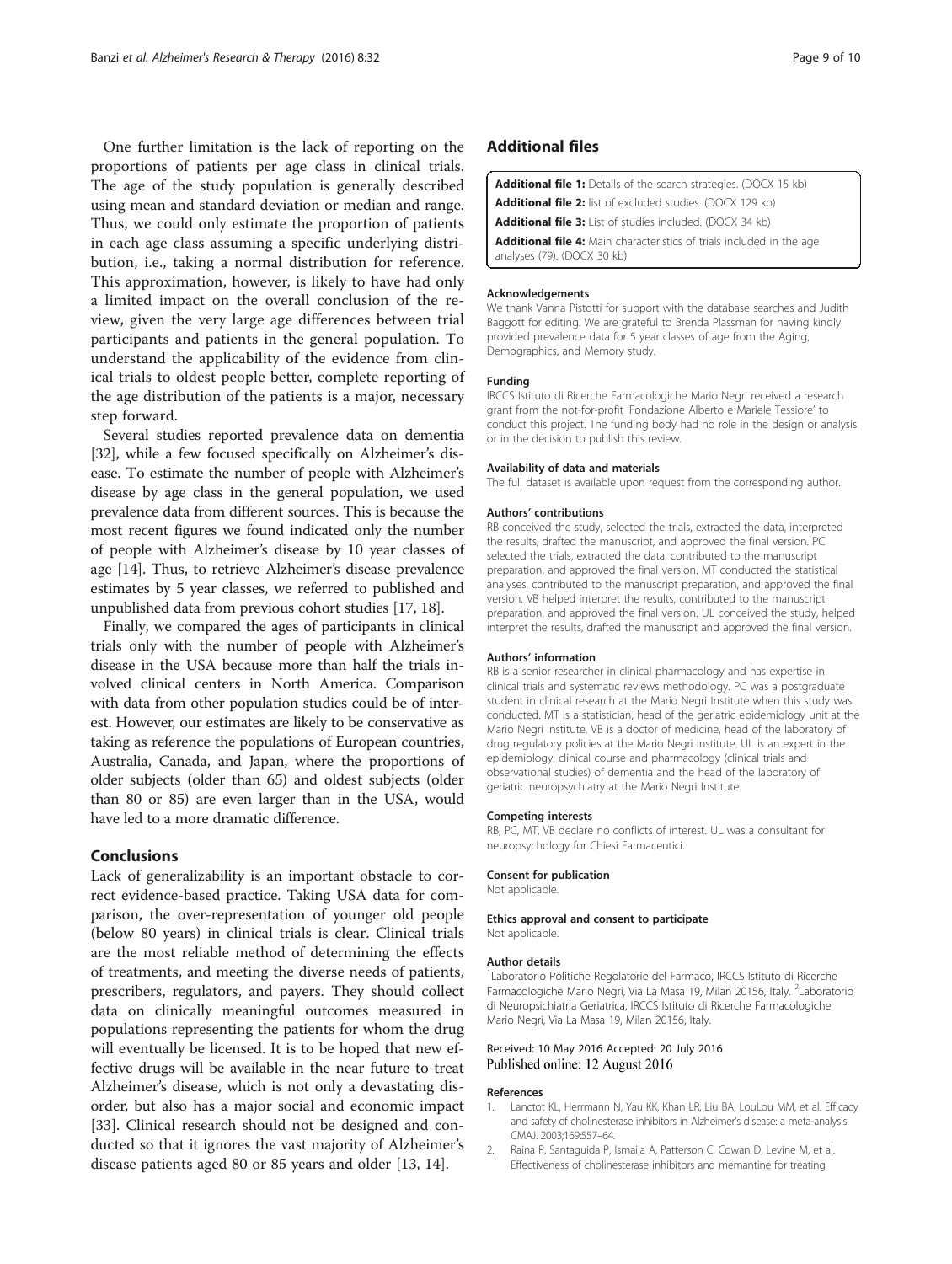<span id="page-8-0"></span>One further limitation is the lack of reporting on the proportions of patients per age class in clinical trials. The age of the study population is generally described using mean and standard deviation or median and range. Thus, we could only estimate the proportion of patients in each age class assuming a specific underlying distribution, i.e., taking a normal distribution for reference. This approximation, however, is likely to have had only a limited impact on the overall conclusion of the review, given the very large age differences between trial participants and patients in the general population. To understand the applicability of the evidence from clinical trials to oldest people better, complete reporting of the age distribution of the patients is a major, necessary step forward.

Several studies reported prevalence data on dementia [[32](#page-9-0)], while a few focused specifically on Alzheimer's disease. To estimate the number of people with Alzheimer's disease by age class in the general population, we used prevalence data from different sources. This is because the most recent figures we found indicated only the number of people with Alzheimer's disease by 10 year classes of age [\[14](#page-9-0)]. Thus, to retrieve Alzheimer's disease prevalence estimates by 5 year classes, we referred to published and unpublished data from previous cohort studies [\[17, 18\]](#page-9-0).

Finally, we compared the ages of participants in clinical trials only with the number of people with Alzheimer's disease in the USA because more than half the trials involved clinical centers in North America. Comparison with data from other population studies could be of interest. However, our estimates are likely to be conservative as taking as reference the populations of European countries, Australia, Canada, and Japan, where the proportions of older subjects (older than 65) and oldest subjects (older than 80 or 85) are even larger than in the USA, would have led to a more dramatic difference.

## Conclusions

Lack of generalizability is an important obstacle to correct evidence-based practice. Taking USA data for comparison, the over-representation of younger old people (below 80 years) in clinical trials is clear. Clinical trials are the most reliable method of determining the effects of treatments, and meeting the diverse needs of patients, prescribers, regulators, and payers. They should collect data on clinically meaningful outcomes measured in populations representing the patients for whom the drug will eventually be licensed. It is to be hoped that new effective drugs will be available in the near future to treat Alzheimer's disease, which is not only a devastating disorder, but also has a major social and economic impact [[33\]](#page-9-0). Clinical research should not be designed and conducted so that it ignores the vast majority of Alzheimer's disease patients aged 80 or 85 years and older [[13, 14\]](#page-9-0).

## Additional files

[Additional file 1:](dx.doi.org/10.1186/s13195-016-0201-2) Details of the search strategies. (DOCX 15 kb) [Additional file 2:](dx.doi.org/10.1186/s13195-016-0201-2) list of excluded studies. (DOCX 129 kb) [Additional file 3:](dx.doi.org/10.1186/s13195-016-0201-2) List of studies included. (DOCX 34 kb) [Additional file 4:](dx.doi.org/10.1186/s13195-016-0201-2) Main characteristics of trials included in the age analyses (79). (DOCX 30 kb)

#### Acknowledgements

We thank Vanna Pistotti for support with the database searches and Judith Baggott for editing. We are grateful to Brenda Plassman for having kindly provided prevalence data for 5 year classes of age from the Aging, Demographics, and Memory study.

#### Funding

IRCCS Istituto di Ricerche Farmacologiche Mario Negri received a research grant from the not-for-profit 'Fondazione Alberto e Mariele Tessiore' to conduct this project. The funding body had no role in the design or analysis or in the decision to publish this review.

#### Availability of data and materials

The full dataset is available upon request from the corresponding author.

#### Authors' contributions

RB conceived the study, selected the trials, extracted the data, interpreted the results, drafted the manuscript, and approved the final version. PC selected the trials, extracted the data, contributed to the manuscript preparation, and approved the final version. MT conducted the statistical analyses, contributed to the manuscript preparation, and approved the final version. VB helped interpret the results, contributed to the manuscript preparation, and approved the final version. UL conceived the study, helped interpret the results, drafted the manuscript and approved the final version.

#### Authors' information

RB is a senior researcher in clinical pharmacology and has expertise in clinical trials and systematic reviews methodology. PC was a postgraduate student in clinical research at the Mario Negri Institute when this study was conducted. MT is a statistician, head of the geriatric epidemiology unit at the Mario Negri Institute. VB is a doctor of medicine, head of the laboratory of drug regulatory policies at the Mario Negri Institute. UL is an expert in the epidemiology, clinical course and pharmacology (clinical trials and observational studies) of dementia and the head of the laboratory of geriatric neuropsychiatry at the Mario Negri Institute.

#### Competing interests

RB, PC, MT, VB declare no conflicts of interest. UL was a consultant for neuropsychology for Chiesi Farmaceutici.

#### Consent for publication

Not applicable.

#### Ethics approval and consent to participate

Not applicable.

#### Author details

<sup>1</sup> Laboratorio Politiche Regolatorie del Farmaco, IRCCS Istituto di Ricerche Farmacologiche Mario Negri, Via La Masa 19, Milan 20156, Italy. <sup>2</sup>Laboratorio di Neuropsichiatria Geriatrica, IRCCS Istituto di Ricerche Farmacologiche Mario Negri, Via La Masa 19, Milan 20156, Italy.

#### Received: 10 May 2016 Accepted: 20 July 2016 Published online: 12 August 2016

#### References

- 1. Lanctot KL, Herrmann N, Yau KK, Khan LR, Liu BA, LouLou MM, et al. Efficacy and safety of cholinesterase inhibitors in Alzheimer's disease: a meta-analysis. CMAJ. 2003;169:557–64.
- 2. Raina P, Santaguida P, Ismaila A, Patterson C, Cowan D, Levine M, et al. Effectiveness of cholinesterase inhibitors and memantine for treating